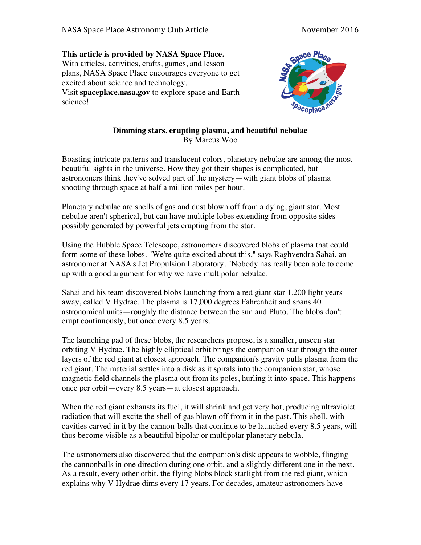## **This article is provided by NASA Space Place.**

With articles, activities, crafts, games, and lesson plans, NASA Space Place encourages everyone to get excited about science and technology. Visit **spaceplace.nasa.gov** to explore space and Earth science!



## **Dimming stars, erupting plasma, and beautiful nebulae** By Marcus Woo

Boasting intricate patterns and translucent colors, planetary nebulae are among the most beautiful sights in the universe. How they got their shapes is complicated, but astronomers think they've solved part of the mystery—with giant blobs of plasma shooting through space at half a million miles per hour.

Planetary nebulae are shells of gas and dust blown off from a dying, giant star. Most nebulae aren't spherical, but can have multiple lobes extending from opposite sides possibly generated by powerful jets erupting from the star.

Using the Hubble Space Telescope, astronomers discovered blobs of plasma that could form some of these lobes. "We're quite excited about this," says Raghvendra Sahai, an astronomer at NASA's Jet Propulsion Laboratory. "Nobody has really been able to come up with a good argument for why we have multipolar nebulae."

Sahai and his team discovered blobs launching from a red giant star 1,200 light years away, called V Hydrae. The plasma is 17,000 degrees Fahrenheit and spans 40 astronomical units—roughly the distance between the sun and Pluto. The blobs don't erupt continuously, but once every 8.5 years.

The launching pad of these blobs, the researchers propose, is a smaller, unseen star orbiting V Hydrae. The highly elliptical orbit brings the companion star through the outer layers of the red giant at closest approach. The companion's gravity pulls plasma from the red giant. The material settles into a disk as it spirals into the companion star, whose magnetic field channels the plasma out from its poles, hurling it into space. This happens once per orbit—every 8.5 years—at closest approach.

When the red giant exhausts its fuel, it will shrink and get very hot, producing ultraviolet radiation that will excite the shell of gas blown off from it in the past. This shell, with cavities carved in it by the cannon-balls that continue to be launched every 8.5 years, will thus become visible as a beautiful bipolar or multipolar planetary nebula.

The astronomers also discovered that the companion's disk appears to wobble, flinging the cannonballs in one direction during one orbit, and a slightly different one in the next. As a result, every other orbit, the flying blobs block starlight from the red giant, which explains why V Hydrae dims every 17 years. For decades, amateur astronomers have